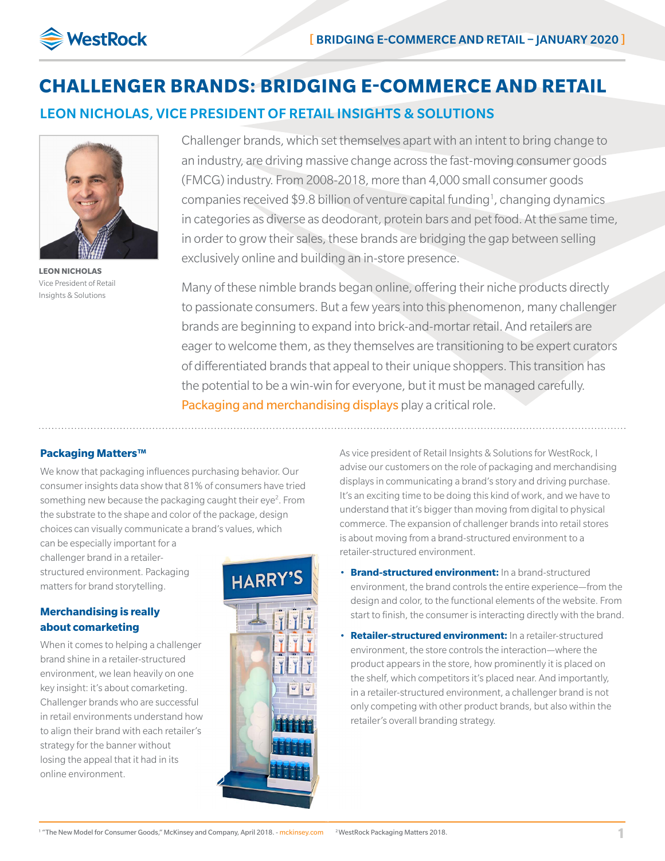

# **CHALLENGER BRANDS: BRIDGING E-COMMERCE AND RETAIL**

LEON NICHOLAS, VICE PRESIDENT OF RETAIL INSIGHTS & SOLUTIONS



**LEON NICHOLAS** Vice President of Retail Insights & Solutions

Challenger brands, which set themselves apart with an intent to bring change to an industry, are driving massive change across the fast-moving consumer goods (FMCG) industry. From 2008-2018, more than 4,000 small consumer goods companies received \$9.8 billion of venture capital funding<sup>1</sup>, changing dynamics in categories as diverse as deodorant, protein bars and pet food. At the same time, in order to grow their sales, these brands are bridging the gap between selling exclusively online and building an in-store presence.

Many of these nimble brands began online, offering their niche products directly to passionate consumers. But a few years into this phenomenon, many challenger brands are beginning to expand into brick-and-mortar retail. And retailers are eager to welcome them, as they themselves are transitioning to be expert curators of differentiated brands that appeal to their unique shoppers. This transition has the potential to be a win-win for everyone, but it must be managed carefully. [Packaging and merchandising displays](https://www.westrock.com/en/products/displays) play a critical role.

### **Packaging Matters™**

We know that packaging influences purchasing behavior. Our consumer insights data show that 81% of consumers have tried something new because the packaging caught their eye<sup>2</sup>. From the substrate to the shape and color of the package, design choices can visually communicate a brand's values, which

can be especially important for a challenger brand in a retailerstructured environment. Packaging matters for brand storytelling.

## **Merchandising is really about comarketing**

When it comes to helping a challenger brand shine in a retailer-structured environment, we lean heavily on one key insight: it's about comarketing. Challenger brands who are successful in retail environments understand how to align their brand with each retailer's strategy for the banner without losing the appeal that it had in its online environment.



As vice president of Retail Insights & Solutions for WestRock, I advise our customers on the role of packaging and merchandising displays in communicating a brand's story and driving purchase. It's an exciting time to be doing this kind of work, and we have to understand that it's bigger than moving from digital to physical commerce. The expansion of challenger brands into retail stores is about moving from a brand-structured environment to a retailer-structured environment.

- **Brand-structured environment:** In a brand-structured environment, the brand controls the entire experience—from the design and color, to the functional elements of the website. From start to finish, the consumer is interacting directly with the brand.
- **Retailer-structured environment:** In a retailer-structured environment, the store controls the interaction—where the product appears in the store, how prominently it is placed on the shelf, which competitors it's placed near. And importantly, in a retailer-structured environment, a challenger brand is not only competing with other product brands, but also within the retailer's overall branding strategy.